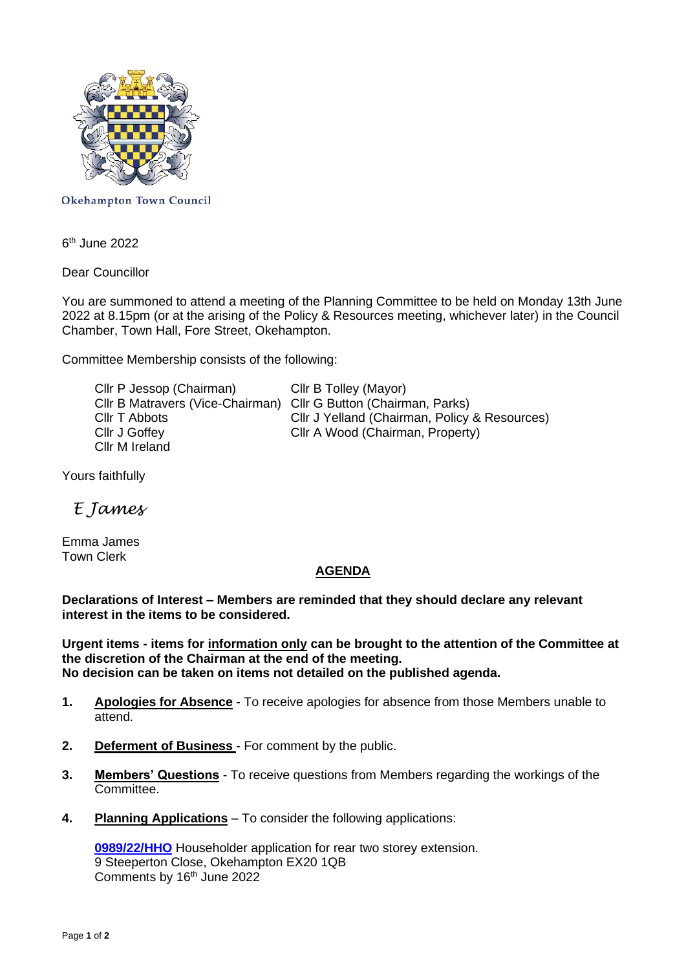

**Okehampton Town Council** 

6<sup>th</sup> June 2022

Dear Councillor

You are summoned to attend a meeting of the Planning Committee to be held on Monday 13th June 2022 at 8.15pm (or at the arising of the Policy & Resources meeting, whichever later) in the Council Chamber, Town Hall, Fore Street, Okehampton.

Committee Membership consists of the following:

Cllr P Jessop (Chairman) Cllr B Tolley (Mayor) Cllr B Matravers (Vice-Chairman) Cllr G Button (Chairman, Parks) Cllr J Goffey Cllr A Wood (Chairman, Property) Cllr M Ireland

Cllr T Abbots Cllr J Yelland (Chairman, Policy & Resources)

Yours faithfully

*E James*

Emma James Town Clerk

## **AGENDA**

**Declarations of Interest – Members are reminded that they should declare any relevant interest in the items to be considered.**

**Urgent items - items for information only can be brought to the attention of the Committee at the discretion of the Chairman at the end of the meeting. No decision can be taken on items not detailed on the published agenda.**

- **1. Apologies for Absence** To receive apologies for absence from those Members unable to attend.
- **2. Deferment of Business**  For comment by the public.
- **3. Members' Questions** To receive questions from Members regarding the workings of the Committee.
- **4. Planning Applications** To consider the following applications:

**[0989/22/HHO](http://apps.westdevon.gov.uk/PlanningSearchMVC/Home/Details/220989)** Householder application for rear two storey extension. 9 Steeperton Close, Okehampton EX20 1QB Comments by 16<sup>th</sup> June 2022